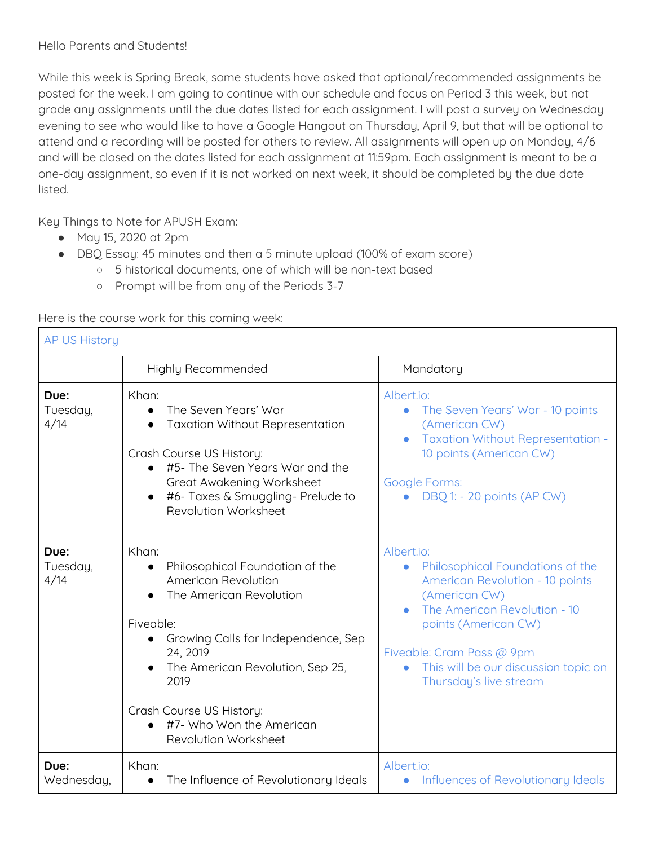While this week is Spring Break, some students have asked that optional/recommended assignments be posted for the week. I am going to continue with our schedule and focus on Period 3 this week, but not grade any assignments until the due dates listed for each assignment. I will post a survey on Wednesday evening to see who would like to have a Google Hangout on Thursday, April 9, but that will be optional to attend and a recording will be posted for others to review. All assignments will open up on Monday, 4/6 and will be closed on the dates listed for each assignment at 11:59pm. Each assignment is meant to be a one-day assignment, so even if it is not worked on next week, it should be completed by the due date listed.

Key Things to Note for APUSH Exam:

- May 15, 2020 at 2pm
- DBQ Essay: 45 minutes and then a 5 minute upload (100% of exam score)
	- 5 historical documents, one of which will be non-text based
	- Prompt will be from any of the Periods 3-7

Here is the course work for this coming week:

| <b>AP US History</b>     |                                                                                                                                                                                                                                                                                                                  |                                                                                                                                                                                                                                                                                            |  |
|--------------------------|------------------------------------------------------------------------------------------------------------------------------------------------------------------------------------------------------------------------------------------------------------------------------------------------------------------|--------------------------------------------------------------------------------------------------------------------------------------------------------------------------------------------------------------------------------------------------------------------------------------------|--|
|                          | Highly Recommended                                                                                                                                                                                                                                                                                               | Mandatory                                                                                                                                                                                                                                                                                  |  |
| Due:<br>Tuesday,<br>4/14 | Khan:<br>The Seven Years' War<br>$\bullet$<br><b>Taxation Without Representation</b><br>Crash Course US History:<br>#5- The Seven Years War and the<br>Great Awakening Worksheet<br>#6- Taxes & Smuggling- Prelude to<br>Revolution Worksheet                                                                    | Albert.io:<br>The Seven Years' War - 10 points<br>$\bullet$<br>(American CW)<br><b>Taxation Without Representation -</b><br>$\bullet$<br>10 points (American CW)<br>Google Forms:<br>DBQ 1: - 20 points (AP CW)                                                                            |  |
| Due:<br>Tuesday,<br>4/14 | Khan:<br>Philosophical Foundation of the<br>$\bullet$<br>American Revolution<br>The American Revolution<br>Fiveable:<br>Growing Calls for Independence, Sep<br>$\bullet$<br>24, 2019<br>The American Revolution, Sep 25,<br>2019<br>Crash Course US History:<br>#7- Who Won the American<br>Revolution Worksheet | Albert.io:<br>Philosophical Foundations of the<br>$\bullet$<br><b>American Revolution - 10 points</b><br>(American CW)<br>The American Revolution - 10<br>points (American CW)<br>Fiveable: Cram Pass @ 9pm<br>This will be our discussion topic on<br>$\bullet$<br>Thursday's live stream |  |
| Due:<br>Wednesday,       | Khan:<br>The Influence of Revolutionary Ideals<br>$\bullet$                                                                                                                                                                                                                                                      | Albert.io:<br>Influences of Revolutionary Ideals<br>$\bullet$                                                                                                                                                                                                                              |  |